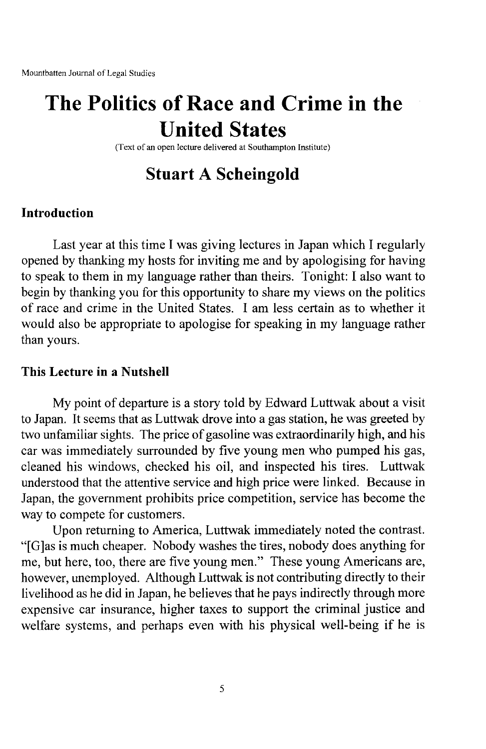# **The Politics of Race and Crime in the United States**

(Text of an open lecture delivered at Southampton Institute)

## **Stuart A Scheingold**

#### **Introduction**

Last year at this time I was giving lectures in Japan which I regularly opened by thanking my hosts for inviting me and by apologising for having to speak to them in my language rather than theirs. Tonight: I also want to begin by thanking you for this opportunity to share my views on the politics of race and crime in the United States. I am less certain as to whether it would also be appropriate to apologise for speaking in my language rather than yours.

#### **This Lecture in a Nutshell**

My point of departure is a story told by Edward Luttwak about a visit to Japan. It seems that as Luttwak drove into a gas station, he was greeted by two unfamiliar sights. The price of gasoline was extraordinarily high, and his car was immediately surrounded by five young men who pumped his gas, cleaned his windows, checked his oil, and inspected his tires. Luttwak understood that the attentive service and high price were linked. Because in Japan, the government prohibits price competition, service has become the way to compete for customers.

Upon returning to America, Luttwak immediately noted the contrast. "[G]as is much cheaper. Nobody washes the tires, nobody does anything for me, but here, too, there are five young men." These young Americans are, however, unemployed. Although Luttwak is not contributing directly to their livelihood as he did in Japan, he believes that he pays indirectly through more expensive car insurance, higher taxes to support the criminal justice and welfare systems, and perhaps even with his physical well-being if he is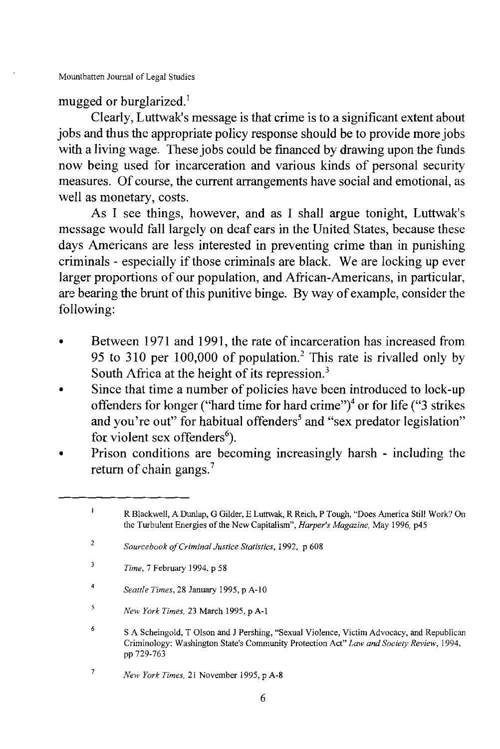mugged or burglarized.<sup>1</sup>

Clearly, Luttwak's message is that crime is to a significant extent about jobs and thus the appropriate policy response should be to provide more jobs with a living wage. These jobs could be financed by drawing upon the funds now being used for incarceration and various kinds of personal security measures. Of course, the current arrangements have social and emotional, as well as monetary, costs.

As I see things, however, and as I shall argue tonight, Luttwak's message would fall largely on deaf ears in the United States, because these days Americans are less interested in preventing crime than in punishing criminals - especially if those criminals are black. We are locking up ever larger proportions of our population, and African-Americans, in particular, are bearing the brunt of this punitive binge. By way of example, consider the following:

- Between 1971 and 1991, the rate of incarceration has increased from 95 to 310 per 100,000 of population.<sup>2</sup> This rate is rivalled only by South Africa at the height of its repression. $3$
- Since that time a number of policies have been introduced to lock-up offenders for longer ("hard time for hard crime")<sup>4</sup> or for life ("3 strikes and you're out" for habitual offenders<sup>5</sup> and "sex predator legislation" for violent sex offenders<sup>6</sup>).
- Prison conditions are becoming increasingly harsh including the return of chain gangs.<sup>7</sup>

- $\overline{a}$ *Seattle Times,* 28 January 1995, p A-10
- $\overline{\mathbf{5}}$ *New York Times,* 23 March 1995, p A-I

 $\mathbf{I}$ R Blackwell, A Dunlap, G Gilder, E Luttwak, R Reich, P Tough, "Does America Still Work? On the Turbulent Energies of the New Capitalism", *Harper's Magazine*, May 1996, p45

 $\overline{2}$ *Sourcebook ofCriminal Justice Statistics,* 1992, p 608

 $\overline{\mathbf{3}}$ *Time,* 7 February 1994, p 58

<sup>6</sup> SA Scheingold, T Olson and J Pershing, "Sexual Violence, Victim Advocacy, and Republican Criminology: Washington State's Community Protection Act" *Law and Society Review, 1994,* pp 729-763

 $\overline{1}$ *New York Times,* 21 November 1995, p A-8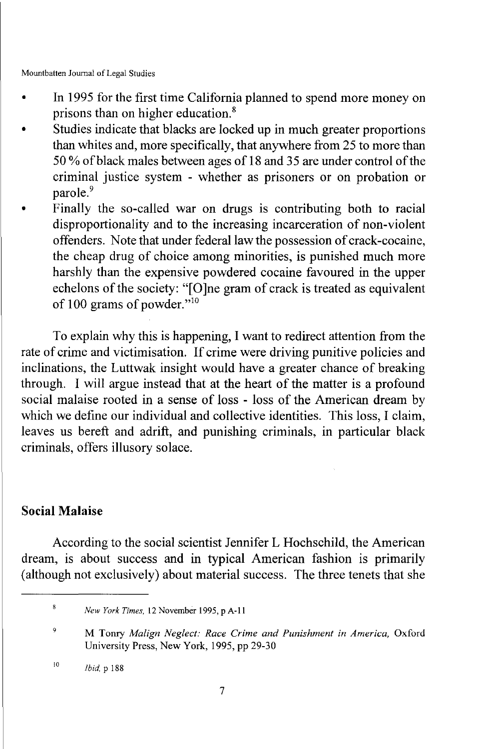- In 1995 for the first time California planned to spend more money on prisons than on higher education.<sup>8</sup>
- Studies indicate that blacks are locked up in much greater proportions than whites and, more specifically, that anywhere from 25 to more than 50 % of black males between ages of 18 and 35 are under control of the criminal justice system - whether as prisoners or on probation or parole.<sup>9</sup>
- Finally the so-called war on drugs is contributing both to racial disproportionality and to the increasing incarceration of non-violent offenders. Note that under federal law the possession of crack-cocaine, the cheap drug of choice among minorities, is punished much more harshly than the expensive powdered cocaine favoured in the upper echelons of the society: "[O]ne gram of crack is treated as equivalent of 100 grams of powder." $^{10}$

To explain why this is happening, I want to redirect attention from the rate of crime and victimisation. If crime were driving punitive policies and inclinations, the Luttwak insight would have a greater chance of breaking through. I will argue instead that at the heart of the matter is a profound social malaise rooted in a sense of loss - loss of the American dream by which we define our individual and collective identities. This loss, I claim, leaves us bereft and adrift, and punishing criminals, in particular black criminals, offers illusory solace.

#### **Social Malaise**

According to the social scientist Jennifer L Hochschild, the American dream, is about success and in typical American fashion is primarily (although not exclusively) about material success. The three tenets that she

 $\bf 8$ *New York Times,* 12 November 1995, p A-II

 $\mathbf{Q}$ M Tonry *Malign Neglect: Race Crime and Punishment in America,* Oxford University Press, New York, 1995, pp 29-30

<sup>10</sup> *Ibid,* P 188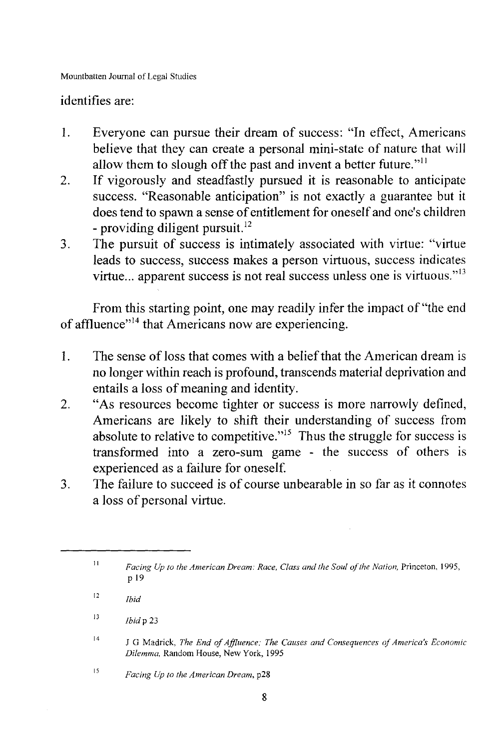#### identifies are:

- 1. Everyone can pursue their dream of success: "In effect, Americans believe that they can create a personal mini-state of nature that will allow them to slough off the past and invent a better future."<sup>11</sup>
- 2. If vigorously and steadfastly pursued it is reasonable to anticipate success. "Reasonable anticipation" is not exactly a guarantee but it does tend to spawn a sense of entitlement for oneself and one's children - providing diligent pursuit. $^{12}$
- 3. The pursuit of success is intimately associated with virtue: "virtue leads to success, success makes a person virtuous, success indicates virtue... apparent success is not real success unless one is virtuous. $13$

From this starting point, one may readily infer the impact of "the end of affluence"<sup>14</sup> that Americans now are experiencing.

- 1. The sense of loss that comes with a belief that the American dream is no longer within reach is profound, transcends material deprivation and entails a loss of meaning and identity.
- 2. "As resources become tighter or success is more narrowly defined, Americans are likely to shift their understanding of success from absolute to relative to competitive.<sup> $15$ </sup> Thus the struggle for success is transformed into a zero-sum game - the success of others is experienced as a failure for oneself
- 3. The failure to succeed is of course unbearable in so far as it connotes a loss of personal virtue.

<sup>11</sup> *Facing Up to the American Dream: Race, Class and the Soul ofthe Nation,* Princeton, 1995, p 19

 $\overline{12}$ *Ibid*

<sup>13</sup> *Ibidp 23*

<sup>14</sup> J G Madrick, *The End ofAffluence: The Causes and Consequences ofAmerica's Economic Dilemma,* Random House, New York, 1995

<sup>15</sup> *Facing Up to the American Dream,* p28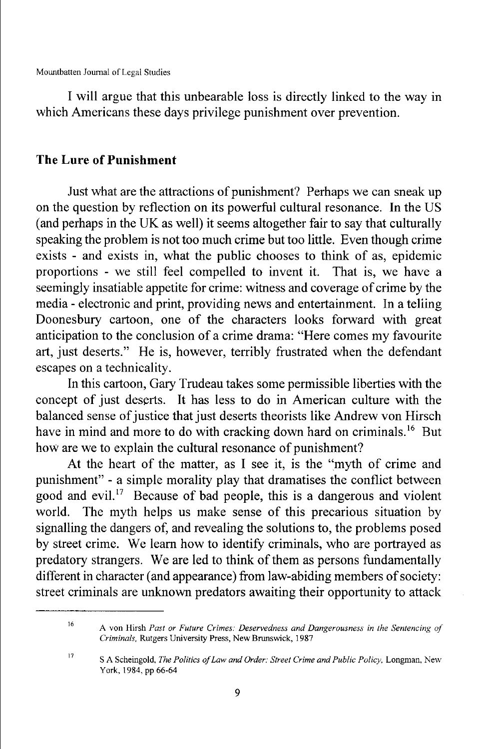I will argue that this unbearable loss is directly linked to the way in which Americans these days privilege punishment over prevention.

### **The Lure of Punishment**

Just what are the attractions of punishment? Perhaps we can sneak up on the question by reflection on its powerful cultural resonance. In the US (and perhaps in the UK as well) it seems altogether fair to say that culturally speaking the problem is not too much crime but too little. Even though crime exists - and exists in, what the public chooses to think of as, epidemic proportions - we still feel compelled to invent it. That is, we have a seemingly insatiable appetite for crime: witness and coverage of crime by the media - electronic and print, providing news and entertainment. In a telling Doonesbury cartoon, one of the characters looks forward with great anticipation to the conclusion of a crime drama: "Here comes my favourite art, just deserts." He is, however, terribly frustrated when the defendant escapes on a technicality.

In this cartoon, Gary Trudeau takes some permissible liberties with the concept of just deserts. It has less to do in American culture with the balanced sense of justice that just deserts theorists like Andrew von Hirsch have in mind and more to do with cracking down hard on criminals.<sup>16</sup> But how are we to explain the cultural resonance of punishment?

At the heart of the matter, as I see it, is the "myth of crime and punishment" - a simple morality play that dramatises the conflict between good and evil.<sup>17</sup> Because of bad people, this is a dangerous and violent world. The myth helps us make sense of this precarious situation by signalling the dangers of, and revealing the solutions to, the problems posed by street crime. We learn how to identify criminals, who are portrayed as predatory strangers. We are led to think of them as persons fundamentally different in character (and appearance) from law-abiding members of society: street criminals are unknown predators awaiting their opportunity to attack

<sup>16</sup> A von Hirsh *Past or Future Crimes: Deservedness and Dangerousness in the Sentencing of Criminals,* Rutgers University Press, New Brunswick, 1987

<sup>17</sup>

SA Scheingold, *The Politics ofLaw and Order: Street Crime and Public Policy,* Longman, New York, 1984, pp 66-64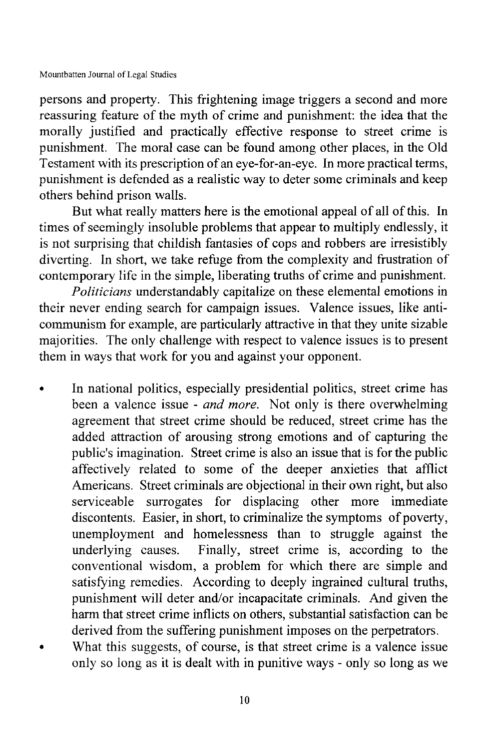persons and property. This frightening image triggers a second and more reassuring feature of the myth of crime and punishment: the idea that the morally justified and practically effective response to street crime is punishment. The moral case can be found among other places, in the Old Testament with its prescription of an eye-for-an-eye. In more practical terms, punishment is defended as a realistic way to deter some criminals and keep others behind prison walls.

But what really matters here is the emotional appeal of all of this. In times of seemingly insoluble problems that appear to multiply endlessly, it is not surprising that childish fantasies of cops and robbers are irresistibly diverting. **In** short, we take refuge from the complexity and frustration of contemporary life in the simple, liberating truths of crime and punishment.

*Politicians* understandably capitalize on these elemental emotions in their never ending search for campaign issues. Valence issues, like anticommunism for example, are particularly attractive in that they unite sizable majorities. The only challenge with respect to valence issues is to present them in ways that work for you and against your opponent.

- **• In** national politics, especially presidential politics, street crime has been a valence issue - *and more.* Not only is there overwhelming agreement that street crime should be reduced, street crime has the added attraction of arousing strong emotions and of capturing the public's imagination. Street crime is also an issue that is for the public affectively related to some of the deeper anxieties that afflict Americans. Street criminals are objectional in their own right, but also serviceable surrogates for displacing other more immediate discontents. Easier, in short, to criminalize the symptoms of poverty, unemployment and homelessness than to struggle against the underlying causes. Finally, street crime is, according to the conventional wisdom, a problem for which there are simple and satisfying remedies. According to deeply ingrained cultural truths, punishment will deter and/or incapacitate criminals. And given the harm that street crime inflicts on others, substantial satisfaction can be derived from the suffering punishment imposes on the perpetrators.
- What this suggests, of course, is that street crime is a valence issue only so long as it is dealt with in punitive ways - only so long as we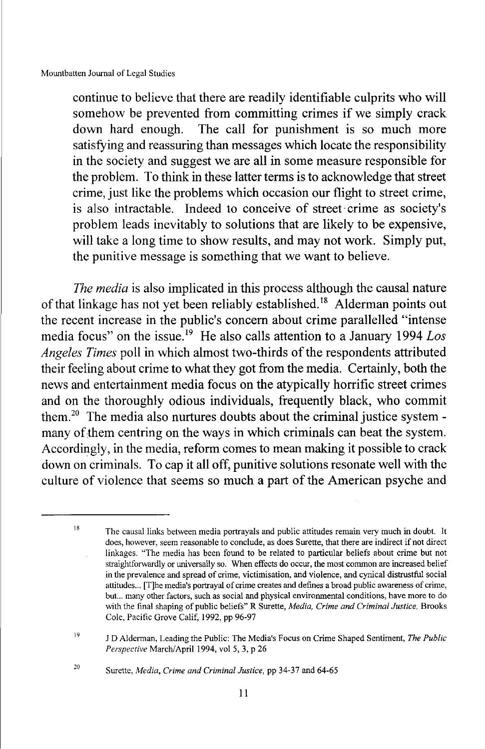continue to believe that there are readily identifiable culprits who will somehow be prevented from committing crimes if we simply crack down hard enough. The call for punishment is so much more satisfying and reassuring than messages which locate the responsibility in the society and suggest we are all in some measure responsible for the problem. To think in these latter terms is to acknowledge that street crime, just like the problems which occasion our flight to street crime, is also intractable. Indeed to conceive of street· crime as society's problem leads inevitably to solutions that are likely to be expensive, will take a long time to show results, and may not work. Simply put, the punitive message is something that we want to believe.

*The media* is also implicated in this process although the causal nature of that linkage has not yet been reliably established.<sup>18</sup> Alderman points out the recent increase in the public's concern about crime parallelled "intense media focus" on the issue. <sup>19</sup> He also calls attention to a January 1994 *Los Angeles Times* poll in which almost two-thirds of the respondents attributed their feeling about crime to what they got from the media. Certainly, both the news and entertainment media focus on the atypically horrific street crimes and on the thoroughly odious individuals, frequently black, who commit them.20 The media also nurtures doubts about the criminal justice systemmany of them centring on the ways in which criminals can beat the system. Accordingly, in the media, reform comes to mean making it possible to crack down on criminals. To cap it all off, punitive solutions resonate well with the culture of violence that seems so much a part of the American psyche and

Surette, *Media, Crime and Criminal Justice,* pp 34-37 and 64-65

IS The causal links between media portrayals and public attitudes remain very much in doubt. It does, however, seem reasonable to conclude, as does Surette, that there are indirect if not direct linkages. "The media has been found to be related to particular beliefs about crime but not straightforwardly or universally so. When effects do occur, the most common are increased belief in the prevalence and spread of crime, victimisation, and violence, and cynical distrustful social attitudes... [T]he media's portrayal of crime creates and defines a broad public awareness of crime, but... many other factors, such as social and physical environmental conditions, have more to do with the final shaping of public beliefs" R Surette, *Media, Crime and Criminal Justice,* Brooks Cole, Pacific Grove Calif, 1992, pp 96-97

<sup>19</sup> J 0 Aldennan, Leading the Public: The Media's Focus on Crime Shaped Sentiment, *The Public Perspective* March/April 1994, vol 5, 3, p 26

<sup>20</sup>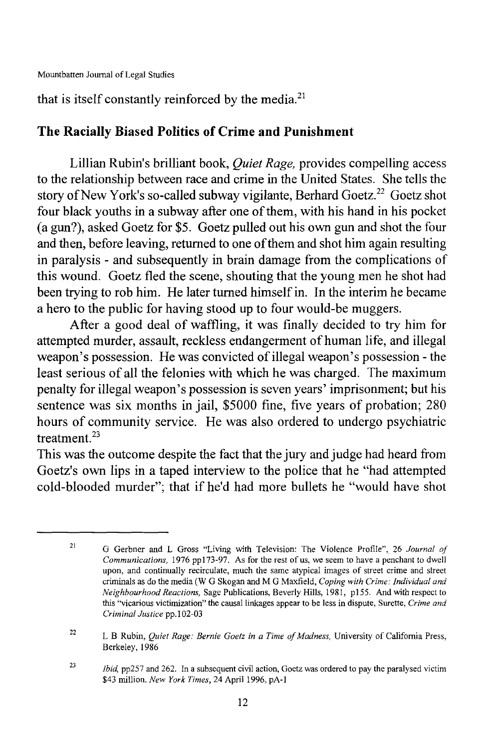that is itself constantly reinforced by the media. $21$ 

### **The Racially Biased Politics of Crime and Punishment**

Lillian Rubin's brilliant book, *Quiet Rage,* provides compelling access to the relationship between race and crime in the United States. She tells the story of New York's so-called subway vigilante, Berhard Goetz,<sup>22</sup> Goetz shot four black youths in a subway after one of them, with his hand in his pocket (a gun?), asked Goetz for \$5. Goetz pulled out his own gun and shot the four and then, before leaving, returned to one of them and shot him again resulting in paralysis - and subsequently in brain damage from the complications of this wound. Goetz fled the scene, shouting that the young men he shot had been trying to rob him. He later turned himself in. In the interim he became a hero to the public for having stood up to four would-be muggers.

After a good deal of waffling, it was finally decided to try him for attempted murder, assault, reckless endangerment of human life, and illegal weapon's possession. He was convicted of illegal weapon's possession - the least serious of all the felonies with which he was charged. The maximum penalty for illegal weapon's possession is seven years' imprisonment; but his sentence was six months in jail, \$5000 fine, five years of probation; 280 hours of community service. He was also ordered to undergo psychiatric treatment. <sup>23</sup>

This was the outcome despite the fact that the jury and judge had heard from Goetz's own lips in a taped interview to the police that he "had attempted cold-blooded murder"; that if he'd had more bullets he "would have shot

<sup>21</sup> G Gerbner and L Gross "Living with Television: The Violence Profile''', 26 *Journal of Communications,* 1976 pp173-97. As for the rest of us, we seem to have a penchant to dwell upon, and continually recirculate, much the same atypical images of street crime and street criminals as do the media (W G Skogan and M G Maxfield, *Coping with Crime: Individuai and Neighbourhood Reactions,* Sage Publications, Beverly Hills, 1981, p155. And with respect to this "vicarious victimization" the causal linkages appear to be less in dispute, Surette, *Crime and Criminai Justice* pp.102-03

<sup>22</sup> L B Rubin, *Quiet Rage: Bernie Goetz in a Time ofMadness,* University of California Press, Berkeley, 1986

<sup>23</sup> *Ibid,* pp257 and 262. In a subsequent civil action, Goetz was ordered to pay the paralysed victim \$43 million. *New York Times,* 24 April 1996, pA-I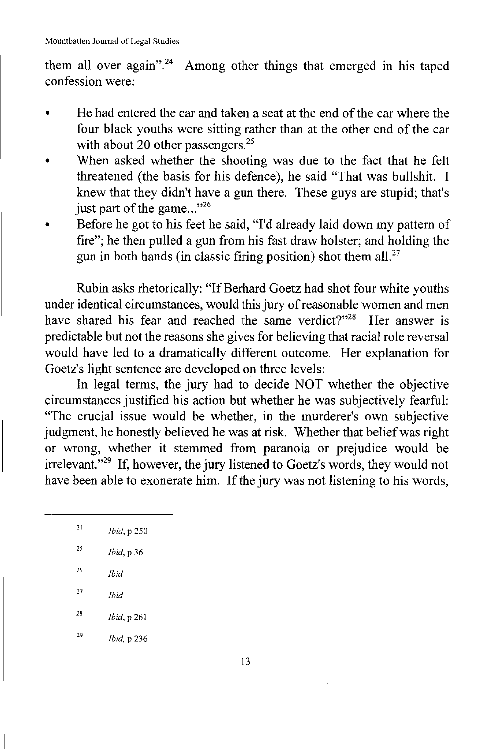them all over again".<sup>24</sup> Among other things that emerged in his taped confession were:

- He had entered the car and taken a seat at the end of the car where the four black youths were sitting rather than at the other end of the car with about 20 other passengers.<sup>25</sup>
- When asked whether the shooting was due to the fact that he felt threatened (the basis for his defence), he said "That was bullshit. I knew that they didn't have a gun there. These guys are stupid; that's just part of the game... $"^{26}$
- Before he got to his feet he said, "I'd already laid down my pattern of fire"; he then pulled a gun from his fast draw holster; and holding the gun in both hands (in classic firing position) shot them all. $27$

Rubin asks rhetorically: "If Berhard Goetz had shot four white youths under identical circumstances, would this jury of reasonable women and men<br>have shared his fear and reached the same verdict?"<sup>28</sup> Her answer is have shared his fear and reached the same verdict? $128$ predictable but not the reasons she gives for believing that racial role reversal would have led to a dramatically different outcome. Her explanation for Goetz's light sentence are developed on three levels:

In legal terms, the jury had to decide NOT whether the objective circumstances justified his action but whether he was subjectively fearful: "The crucial issue would be whether, in the murderer's own subjective judgment, he honestly believed he was at risk. Whether that belief was right or wrong, whether it stemmed from paranoia or prejudice would be irrelevant."29 If, however, the jury listened to Goetz's words, they would not have been able to exonerate him. If the jury was not listening to his words,

| 24 | <i>Ibid</i> , p 250 |
|----|---------------------|
| 25 | <i>Ibid</i> , p 36  |
| 26 | <b>Ihid</b>         |

- <sup>27</sup> *Ibid*
- <sup>28</sup> *Ibid,* P 261
- <sup>29</sup> *Ibid,* P 236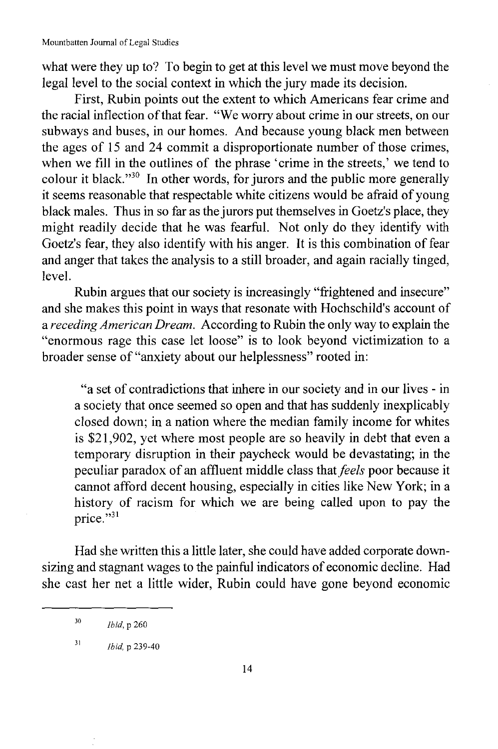what were they up to? To begin to get at this level we must move beyond the legal level to the social context in which the jury made its decision.

First, Rubin points out the extent to which Americans fear crime and the racial inflection of that fear. "We worry about crime in our streets, on our subways and buses, in our homes. And because young black men between the ages of 15 and 24 commit a disproportionate number of those crimes, when we fill in the outlines of the phrase 'crime in the streets,' we tend to colour it black."<sup>30</sup> In other words, for jurors and the public more generally it seems reasonable that respectable white citizens would be afraid of young black males. Thus in so far as the jurors put themselves in Goetz's place, they might readily decide that he was fearful. Not only do they identify with Goetz's fear, they also identify with his anger. It is this combination of fear and anger that takes the analysis to a still broader, and again racially tinged, level.

Rubin argues that our society is increasingly "frightened and insecure" and she makes this point in ways that resonate with Hochschild's account of a *receding American Dream.* According to Rubin the only way to explain the "enormous rage this case let loose" is to look beyond victimization to a broader sense of "anxiety about our helplessness" rooted in:

"a set of contradictions that inhere in our society and in our lives - in a society that once seemed so open and that has suddenly inexplicably closed down; in a nation where the median family income for whites is \$21,902, yet where most people are so heavily in debt that even a temporary disruption in their paycheck would be devastating; in the peculiar paradox of an affluent middle class that *feels* poor because it cannot afford decent housing, especially in cities like New York; in a history of racism for which we are being called upon to pay the price."31

Had she written this a little later, she could have added corporate downsizing and stagnant wages to the painful indicators of economic decline. Had she cast her net a little wider, Rubin could have gone beyond economic

<sup>30</sup> *Ibid, p* 260

<sup>31</sup> *Ibid.* p 239-40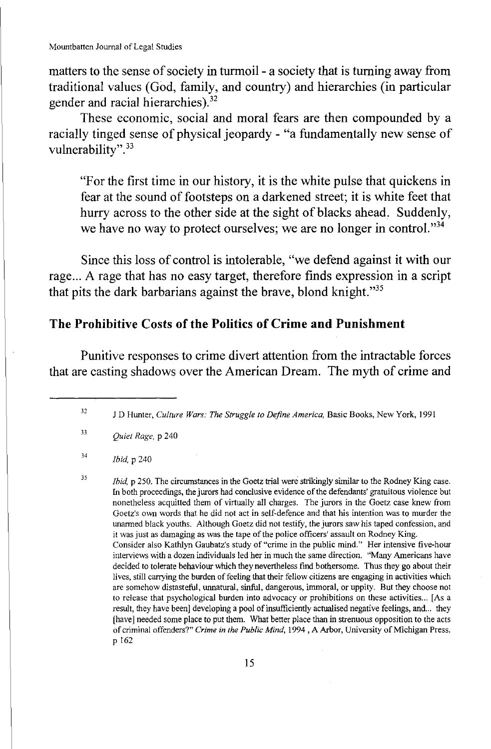matters to the sense of society in turmoil - a society that is turning away from traditional values (God, family, and country) and hierarchies (in particular gender and racial hierarchies).<sup>32</sup>

These economic, social and moral fears are then compounded by a racially tinged sense of physical jeopardy - "a fundamentally new sense of vulnerability".<sup>33</sup>

"For the first time in our history, it is the white pulse that quickens in fear at the sound of footsteps on a darkened street; it is white feet that hurry across to the other side at the sight of blacks ahead. Suddenly, we have no way to protect ourselves; we are no longer in control. $^{334}$ 

Since this loss of control is intolerable, "we defend against it with our rage... A rage that has no easy target, therefore fmds expression in a script that pits the dark barbarians against the brave, blond knight."35

### **The Prohibitive Costs ofthe Politics of Crime and Punishment**

Punitive responses to crime divert attention from the intractable forces that are casting shadows over the American Dream. The myth of crime and

32 J D Hunter, *Culture Wars: The Struggle to Define America,* Basic Books, New York, 1991

33 *Quiet Rage,* p 240

34 *Ibid.* p 240

35 *Ibid*, p 250. The circumstances in the Goetz trial were strikingly similar to the Rodney King case. In both proceedings, the jurors had conclusive evidence ofthe defendants' gratuitous violence but nonetheless acquitted them of virtually all charges. The jurors in the Goetz case knew from Goetz's own words that he did not act in self-defence and that his intention was to murder the unarmed black youths. Although Goetz did not testifY, the jurors saw his taped confession, and it was just as damaging as was the tape of the police officers' assault on Rodney King. Consider also Kathlyn Gaubatz's study of "crime in the public mind." Her intensive five-hour interviews with a dozen individuals led her in much the same direction. "Many Americans have decided to tolerate behaviour which they nevertheless fmd bothersome. Thus they go about their lives, still carrying the burden of feeling that their fellow citizens are engaging in activities which are somehow distasteful, unnatural, sinful, dangerous, immoral, or uppity. But they choose not to release that psychological burden into advocacy or prohibitions on these activities... [As a result, they have been] developing a pool of insufficiently actualised negative feelings, and... they [have] needed some place to put them. What better place than in strenuous opposition to the acts of criminal offenders?" *Crime in the Public Mind,* 1994 , A Arbor, University of Michigan Press, p 162